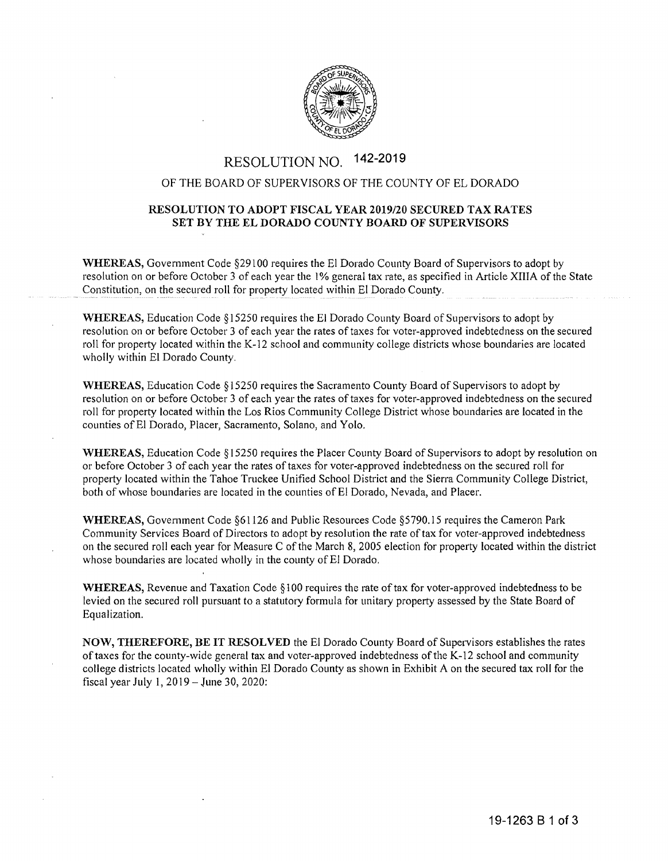

# RESOLUTION NO. 142-2019

## OF THE BOARD OF SUPERVISORS OF THE COUNTY OF EL DORADO

## **RESOLUTION TO ADOPT FISCAL YEAR 2019/20 SECURED TAX RATES SET BY THE EL DORADO COUNTY BOARD OF SUPERVISORS**

**WHEREAS,** Government Code §29 l 00 requires the El Dorado County Board of Supervisors to adopt by resolution on or before October 3 of each year the l % general tax rate, as specified in Article **XIII A** of the State Constitution, on the secured roll for property located within El Dorado County.

**WHEREAS,** Education Code § 15250 requires the El Dorado County Board of Supervisors to adopt by resolution on or before October 3 of each year the rates of taxes for voter-approved indebtedness on the secured roll for property located within the K-12 school and community college districts whose boundaries are located wholly within El Dorado County.

**WHEREAS,** Education Code § 15250 requires the Sacramento County Board of Supervisors to adopt by resolution on or before October 3 of each year the rates of taxes for voter-approved indebtedness on the secured roll for property located within the Los Rios Community College District whose boundaries are located in the counties of El Dorado, Placer, Sacramento, Solano, and Yolo.

**WHEREAS,** Education Code § 15250 requires the Placer County Board of Supervisors to adopt by resolution on or before October 3 of each year the rates of taxes for voter-approved indebtedness on the secured roll for property located within the Tahoe Truckee Unified School District and the Sierra Community College District, both of whose boundaries are located in the counties of El Dorado, Nevada, and Placer.

**WHEREAS,** Government Code §61126 and Public Resources Code §5790.15 requires the Cameron Park Community Services Board of Directors to adopt by resolution the rate of tax for voter-approved indebtedness on the secured roll each year for Measure C of the March **8,** 2005 election for property located within the district whose boundaries are located wholly in the county of EI Dorado.

**WHEREAS,** Revenue and Taxation Code § l 00 requires the rate of tax for voter-approved indebtedness to be levied on the secured roll pursuant to a statutory formula for unitary property assessed by the State Board of Equalization.

**NOW, THEREFORE, BE IT RESOLVED** the El Dorado County Board of Supervisors establishes the rates of taxes for the county-wide general tax and voter-approved indebtedness of the K-12 school and community college districts located wholly within El Dorado County as shown in Exhibit A on the secured tax roll for the fiscal year July 1,  $2019 -$  June 30, 2020: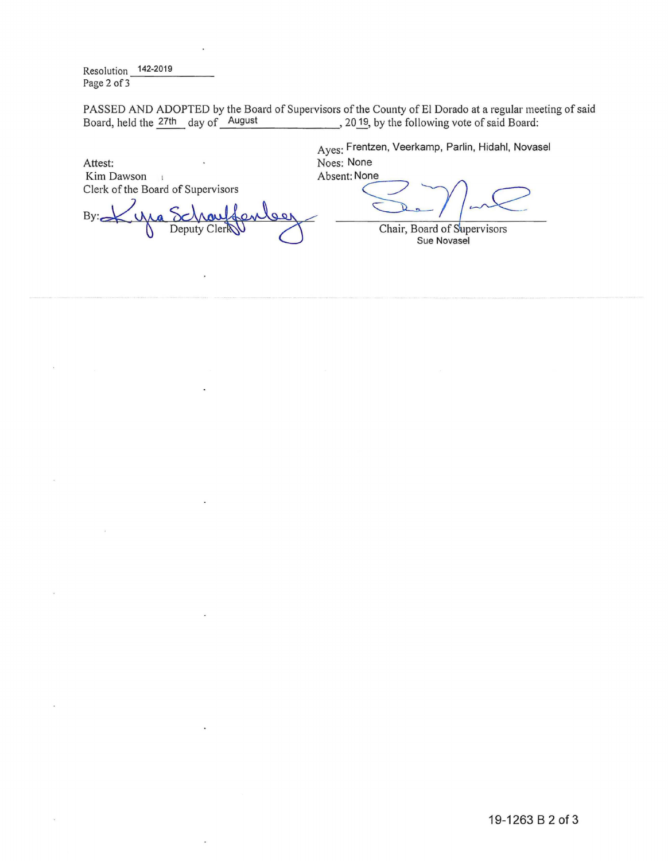Resolution 142-2019<br>Page 2 of 3

PASSED AND ADOPTED by the Board of Supervisors of the County of El Dorado at a regular meeting of said<br>Board, held the 27th day of August , 2019, by the following vote of said Board: , 20 19, by the following vote of said Board:

Attest:<br>Kim Dawson

By: <u>X</u> Ma Schauffenberg<br>By: X Ma Schauffenberg<br>Peputy Clerk Deputy Cler**N** Chair, Board of Supervisors

Ayes: Frentzen, Veerkamp, Parlin, Hidahl, Novasel Noes: None<br>Absent: None Attest:<br>
Attest: November November 2<br>
Kim Dawson<br>
Clerk of the Board of Supervisors

Sue Novasel